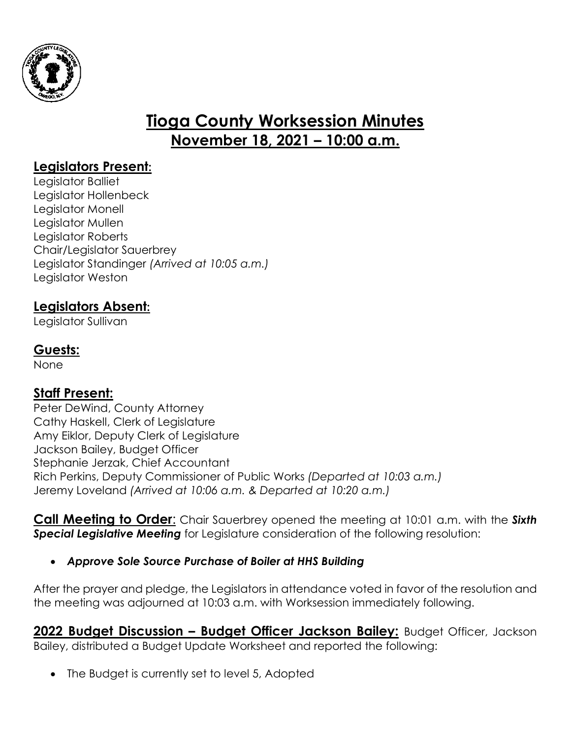

# **Tioga County Worksession Minutes November 18, 2021 – 10:00 a.m.**

#### **Legislators Present:**

Legislator Balliet Legislator Hollenbeck Legislator Monell Legislator Mullen Legislator Roberts Chair/Legislator Sauerbrey Legislator Standinger *(Arrived at 10:05 a.m.)* Legislator Weston

### **Legislators Absent:**

Legislator Sullivan

### **Guests:**

None

### **Staff Present:**

Peter DeWind, County Attorney Cathy Haskell, Clerk of Legislature Amy Eiklor, Deputy Clerk of Legislature Jackson Bailey, Budget Officer Stephanie Jerzak, Chief Accountant Rich Perkins, Deputy Commissioner of Public Works *(Departed at 10:03 a.m.)* Jeremy Loveland *(Arrived at 10:06 a.m. & Departed at 10:20 a.m.)*

**Call Meeting to Order**: Chair Sauerbrey opened the meeting at 10:01 a.m. with the *Sixth Special Legislative Meeting* for Legislature consideration of the following resolution:

#### *Approve Sole Source Purchase of Boiler at HHS Building*

After the prayer and pledge, the Legislators in attendance voted in favor of the resolution and the meeting was adjourned at 10:03 a.m. with Worksession immediately following.

**2022 Budget Discussion – Budget Officer Jackson Bailey:** Budget Officer, Jackson Bailey, distributed a Budget Update Worksheet and reported the following:

The Budget is currently set to level 5, Adopted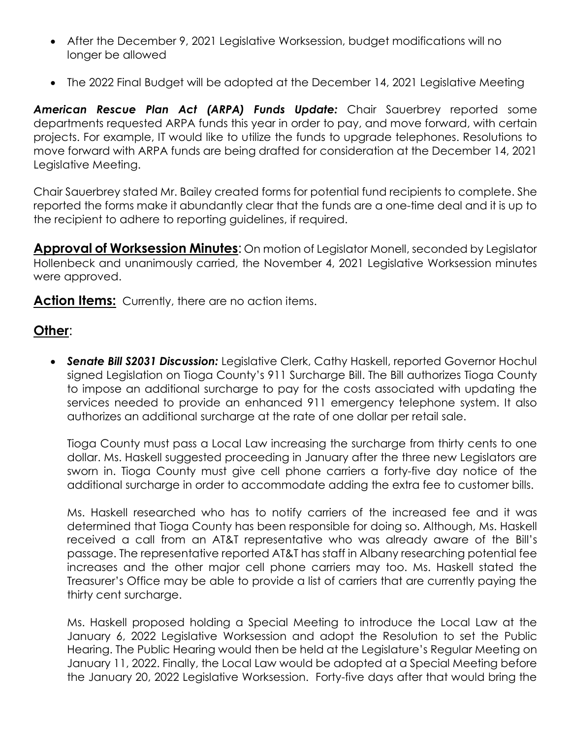- After the December 9, 2021 Legislative Worksession, budget modifications will no longer be allowed
- The 2022 Final Budget will be adopted at the December 14, 2021 Legislative Meeting

*American Rescue Plan Act (ARPA) Funds Update:* Chair Sauerbrey reported some departments requested ARPA funds this year in order to pay, and move forward, with certain projects. For example, IT would like to utilize the funds to upgrade telephones. Resolutions to move forward with ARPA funds are being drafted for consideration at the December 14, 2021 Legislative Meeting.

Chair Sauerbrey stated Mr. Bailey created forms for potential fund recipients to complete. She reported the forms make it abundantly clear that the funds are a one-time deal and it is up to the recipient to adhere to reporting guidelines, if required.

**Approval of Worksession Minutes**: On motion of Legislator Monell, seconded by Legislator Hollenbeck and unanimously carried, the November 4, 2021 Legislative Worksession minutes were approved.

Action Items: Currently, there are no action items.

## **Other**:

 *Senate Bill S2031 Discussion:* Legislative Clerk, Cathy Haskell, reported Governor Hochul signed Legislation on Tioga County's 911 Surcharge Bill. The Bill authorizes Tioga County to impose an additional surcharge to pay for the costs associated with updating the services needed to provide an enhanced 911 emergency telephone system. It also authorizes an additional surcharge at the rate of one dollar per retail sale.

Tioga County must pass a Local Law increasing the surcharge from thirty cents to one dollar. Ms. Haskell suggested proceeding in January after the three new Legislators are sworn in. Tioga County must give cell phone carriers a forty-five day notice of the additional surcharge in order to accommodate adding the extra fee to customer bills.

Ms. Haskell researched who has to notify carriers of the increased fee and it was determined that Tioga County has been responsible for doing so. Although, Ms. Haskell received a call from an AT&T representative who was already aware of the Bill's passage. The representative reported AT&T has staff in Albany researching potential fee increases and the other major cell phone carriers may too. Ms. Haskell stated the Treasurer's Office may be able to provide a list of carriers that are currently paying the thirty cent surcharge.

Ms. Haskell proposed holding a Special Meeting to introduce the Local Law at the January 6, 2022 Legislative Worksession and adopt the Resolution to set the Public Hearing. The Public Hearing would then be held at the Legislature's Regular Meeting on January 11, 2022. Finally, the Local Law would be adopted at a Special Meeting before the January 20, 2022 Legislative Worksession. Forty-five days after that would bring the